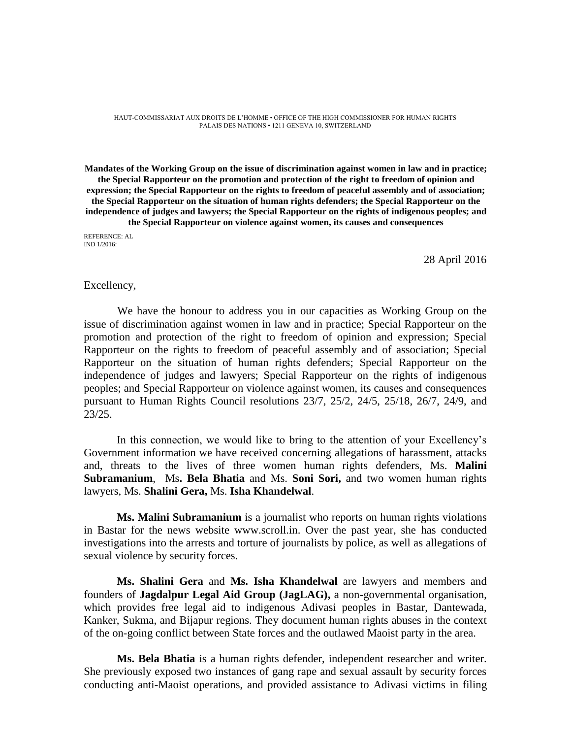HAUT-COMMISSARIAT AUX DROITS DE L'HOMME • OFFICE OF THE HIGH COMMISSIONER FOR HUMAN RIGHTS PALAIS DES NATIONS • 1211 GENEVA 10, SWITZERLAND

**Mandates of the Working Group on the issue of discrimination against women in law and in practice; the Special Rapporteur on the promotion and protection of the right to freedom of opinion and expression; the Special Rapporteur on the rights to freedom of peaceful assembly and of association; the Special Rapporteur on the situation of human rights defenders; the Special Rapporteur on the independence of judges and lawyers; the Special Rapporteur on the rights of indigenous peoples; and the Special Rapporteur on violence against women, its causes and consequences**

REFERENCE: AL IND 1/2016:

28 April 2016

#### Excellency,

We have the honour to address you in our capacities as Working Group on the issue of discrimination against women in law and in practice; Special Rapporteur on the promotion and protection of the right to freedom of opinion and expression; Special Rapporteur on the rights to freedom of peaceful assembly and of association; Special Rapporteur on the situation of human rights defenders; Special Rapporteur on the independence of judges and lawyers; Special Rapporteur on the rights of indigenous peoples; and Special Rapporteur on violence against women, its causes and consequences pursuant to Human Rights Council resolutions 23/7, 25/2, 24/5, 25/18, 26/7, 24/9, and 23/25.

In this connection, we would like to bring to the attention of your Excellency's Government information we have received concerning allegations of harassment, attacks and, threats to the lives of three women human rights defenders, Ms. **Malini Subramanium**, Ms**. [Bela Bhatia](https://www.frontlinedefenders.org/en/profile/bela-bhatia)** and Ms. **[Soni Sori,](https://www.frontlinedefenders.org/en/profile/soni-sori)** and two women human rights lawyers, Ms. **Shalini Gera,** Ms. **Isha Khandelwal**.

**Ms. Malini Subramanium** is a journalist who reports on human rights violations in Bastar for the news website www.scroll.in. Over the past year, she has conducted investigations into the arrests and torture of journalists by police, as well as allegations of sexual violence by security forces.

**Ms. Shalini Gera** and **Ms. Isha Khandelwal** are lawyers and members and founders of **Jagdalpur Legal Aid Group (JagLAG),** a non-governmental organisation, which provides free legal aid to indigenous Adivasi peoples in Bastar, Dantewada, Kanker, Sukma, and Bijapur regions. They document human rights abuses in the context of the on-going conflict between State forces and the outlawed Maoist party in the area.

**Ms. [Bela Bhatia](https://www.frontlinedefenders.org/en/profile/bela-bhatia)** is a human rights defender, independent researcher and writer. She previously exposed two instances of gang rape and sexual assault by security forces conducting anti-Maoist operations, and provided assistance to Adivasi victims in filing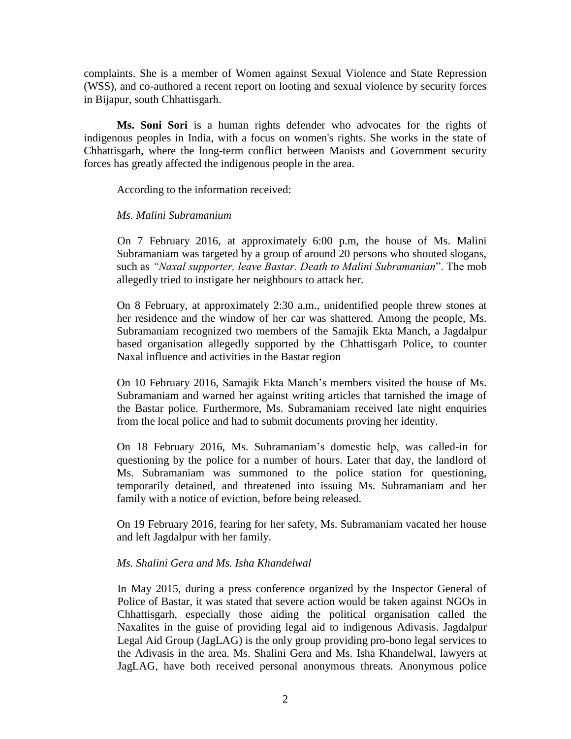complaints. She is a member of Women against Sexual Violence and State Repression (WSS), and co-authored a recent report on looting and sexual violence by security forces in Bijapur, south Chhattisgarh.

**Ms. [Soni Sori](https://www.frontlinedefenders.org/en/profile/soni-sori)** is a human rights defender who advocates for the rights of indigenous peoples in India, with a focus on women's rights. She works in the state of Chhattisgarh, where the long-term conflict between Maoists and Government security forces has greatly affected the indigenous people in the area.

According to the information received:

## *Ms. Malini Subramanium*

On 7 February 2016, at approximately 6:00 p.m, the house of Ms. Malini Subramaniam was targeted by a group of around 20 persons who shouted slogans, such as *"Naxal supporter, leave Bastar. Death to Malini Subramanian*". The mob allegedly tried to instigate her neighbours to attack her.

On 8 February, at approximately 2:30 a.m., unidentified people threw stones at her residence and the window of her car was shattered. Among the people, Ms. Subramaniam recognized two members of the Samajik Ekta Manch, a Jagdalpur based organisation allegedly supported by the Chhattisgarh Police, to counter Naxal influence and activities in the Bastar region

On 10 February 2016, Samajik Ekta Manch's members visited the house of Ms. Subramaniam and warned her against writing articles that tarnished the image of the Bastar police. Furthermore, Ms. Subramaniam received late night enquiries from the local police and had to submit documents proving her identity.

On 18 February 2016, Ms. Subramaniam's domestic help, was called-in for questioning by the police for a number of hours. Later that day, the landlord of Ms. Subramaniam was summoned to the police station for questioning, temporarily detained, and threatened into issuing Ms. Subramaniam and her family with a notice of eviction, before being released.

On 19 February 2016, fearing for her safety, Ms. Subramaniam vacated her house and left Jagdalpur with her family.

## *Ms. Shalini Gera and Ms. Isha Khandelwal*

In May 2015, during a press conference organized by the Inspector General of Police of Bastar, it was stated that severe action would be taken against NGOs in Chhattisgarh, especially those aiding the political organisation called the Naxalites in the guise of providing legal aid to indigenous Adivasis. Jagdalpur Legal Aid Group (JagLAG) is the only group providing pro-bono legal services to the Adivasis in the area. Ms. Shalini Gera and Ms. Isha Khandelwal, lawyers at JagLAG, have both received personal anonymous threats. Anonymous police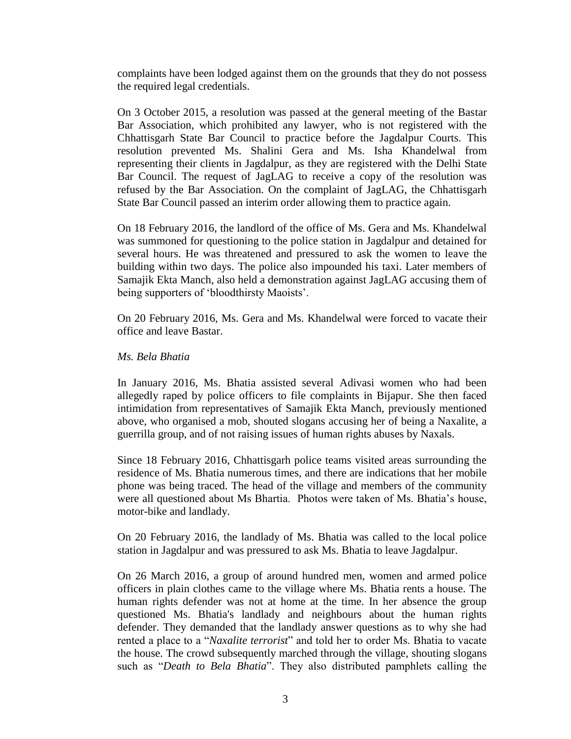complaints have been lodged against them on the grounds that they do not possess the required legal credentials.

On 3 October 2015, a resolution was passed at the general meeting of the Bastar Bar Association, which prohibited any lawyer, who is not registered with the Chhattisgarh State Bar Council to practice before the Jagdalpur Courts. This resolution prevented Ms. Shalini Gera and Ms. Isha Khandelwal from representing their clients in Jagdalpur, as they are registered with the Delhi State Bar Council. The request of JagLAG to receive a copy of the resolution was refused by the Bar Association. On the complaint of JagLAG, the Chhattisgarh State Bar Council passed an interim order allowing them to practice again.

On 18 February 2016, the landlord of the office of Ms. Gera and Ms. Khandelwal was summoned for questioning to the police station in Jagdalpur and detained for several hours. He was threatened and pressured to ask the women to leave the building within two days. The police also impounded his taxi. Later members of Samajik Ekta Manch, also held a demonstration against JagLAG accusing them of being supporters of 'bloodthirsty Maoists'.

On 20 February 2016, Ms. Gera and Ms. Khandelwal were forced to vacate their office and leave Bastar.

#### *Ms. Bela Bhatia*

In January 2016, Ms. Bhatia assisted several Adivasi women who had been allegedly raped by police officers to file complaints in Bijapur. She then faced intimidation from representatives of Samajik Ekta Manch, previously mentioned above, who organised a mob, shouted slogans accusing her of being a Naxalite, a guerrilla group, and of not raising issues of human rights abuses by Naxals.

Since 18 February 2016, Chhattisgarh police teams visited areas surrounding the residence of Ms. Bhatia numerous times, and there are indications that her mobile phone was being traced. The head of the village and members of the community were all questioned about Ms Bhartia. Photos were taken of Ms. Bhatia's house, motor-bike and landlady.

On 20 February 2016, the landlady of Ms. Bhatia was called to the local police station in Jagdalpur and was pressured to ask Ms. Bhatia to leave Jagdalpur.

On 26 March 2016, a group of around hundred men, women and armed police officers in plain clothes came to the village where Ms. Bhatia rents a house. The human rights defender was not at home at the time. In her absence the group questioned Ms. Bhatia's landlady and neighbours about the human rights defender. They demanded that the landlady answer questions as to why she had rented a place to a "*Naxalite terrorist*" and told her to order Ms. Bhatia to vacate the house. The crowd subsequently marched through the village, shouting slogans such as "*Death to Bela Bhatia*". They also distributed pamphlets calling the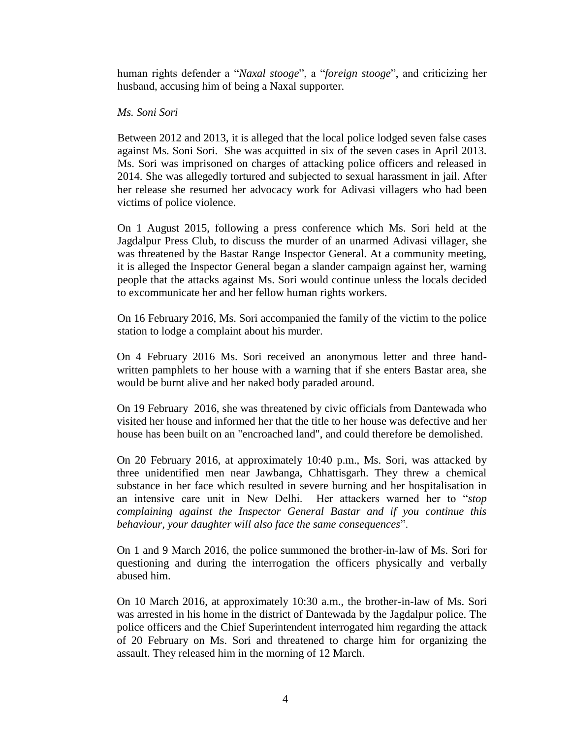human rights defender a "*Naxal stooge*", a "*foreign stooge*", and criticizing her husband, accusing him of being a Naxal supporter.

### *Ms. Soni Sori*

Between 2012 and 2013, it is alleged that the local police lodged seven false cases against Ms. Soni Sori. She was acquitted in six of the seven cases in April 2013. Ms. Sori was imprisoned on charges of attacking police officers and released in 2014. She was allegedly tortured and subjected to sexual harassment in jail. After her release she resumed her advocacy work for Adivasi villagers who had been victims of police violence.

On 1 August 2015, following a press conference which Ms. Sori held at the Jagdalpur Press Club, to discuss the murder of an unarmed Adivasi villager, she was threatened by the Bastar Range Inspector General. At a community meeting, it is alleged the Inspector General began a slander campaign against her, warning people that the attacks against Ms. Sori would continue unless the locals decided to excommunicate her and her fellow human rights workers.

On 16 February 2016, Ms. Sori accompanied the family of the victim to the police station to lodge a complaint about his murder.

On 4 February 2016 Ms. Sori received an anonymous letter and three handwritten pamphlets to her house with a warning that if she enters Bastar area, she would be burnt alive and her naked body paraded around.

On 19 February 2016, she was threatened by civic officials from Dantewada who visited her house and informed her that the title to her house was defective and her house has been built on an "encroached land", and could therefore be demolished.

On 20 February 2016, at approximately 10:40 p.m., Ms. Sori, was attacked by three unidentified men near Jawbanga, Chhattisgarh. They threw a chemical substance in her face which resulted in severe burning and her hospitalisation in an intensive care unit in New Delhi. Her attackers warned her to "*stop complaining against the Inspector General Bastar and if you continue this behaviour, your daughter will also face the same consequences*".

On 1 and 9 March 2016, the police summoned the brother-in-law of Ms. Sori for questioning and during the interrogation the officers physically and verbally abused him.

On 10 March 2016, at approximately 10:30 a.m., the brother-in-law of Ms. Sori was arrested in his home in the district of Dantewada by the Jagdalpur police. The police officers and the Chief Superintendent interrogated him regarding the attack of 20 February on Ms. Sori and threatened to charge him for organizing the assault. They released him in the morning of 12 March.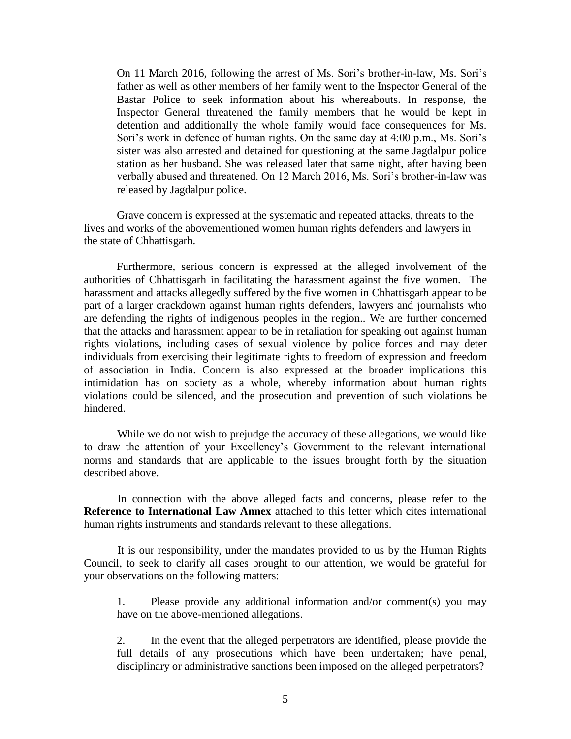On 11 March 2016, following the arrest of Ms. Sori's brother-in-law, Ms. Sori's father as well as other members of her family went to the Inspector General of the Bastar Police to seek information about his whereabouts. In response, the Inspector General threatened the family members that he would be kept in detention and additionally the whole family would face consequences for Ms. Sori's work in defence of human rights. On the same day at 4:00 p.m., Ms. Sori's sister was also arrested and detained for questioning at the same Jagdalpur police station as her husband. She was released later that same night, after having been verbally abused and threatened. On 12 March 2016, Ms. Sori's brother-in-law was released by Jagdalpur police.

Grave concern is expressed at the systematic and repeated attacks, threats to the lives and works of the abovementioned women human rights defenders and lawyers in the state of Chhattisgarh.

Furthermore, serious concern is expressed at the alleged involvement of the authorities of Chhattisgarh in facilitating the harassment against the five women. The harassment and attacks allegedly suffered by the five women in Chhattisgarh appear to be part of a larger crackdown against human rights defenders, lawyers and journalists who are defending the rights of indigenous peoples in the region.. We are further concerned that the attacks and harassment appear to be in retaliation for speaking out against human rights violations, including cases of sexual violence by police forces and may deter individuals from exercising their legitimate rights to freedom of expression and freedom of association in India. Concern is also expressed at the broader implications this intimidation has on society as a whole, whereby information about human rights violations could be silenced, and the prosecution and prevention of such violations be hindered.

While we do not wish to prejudge the accuracy of these allegations, we would like to draw the attention of your Excellency's Government to the relevant international norms and standards that are applicable to the issues brought forth by the situation described above.

In connection with the above alleged facts and concerns, please refer to the **Reference to International Law Annex** attached to this letter which cites international human rights instruments and standards relevant to these allegations.

It is our responsibility, under the mandates provided to us by the Human Rights Council, to seek to clarify all cases brought to our attention, we would be grateful for your observations on the following matters:

1. Please provide any additional information and/or comment(s) you may have on the above-mentioned allegations.

2. In the event that the alleged perpetrators are identified, please provide the full details of any prosecutions which have been undertaken; have penal, disciplinary or administrative sanctions been imposed on the alleged perpetrators?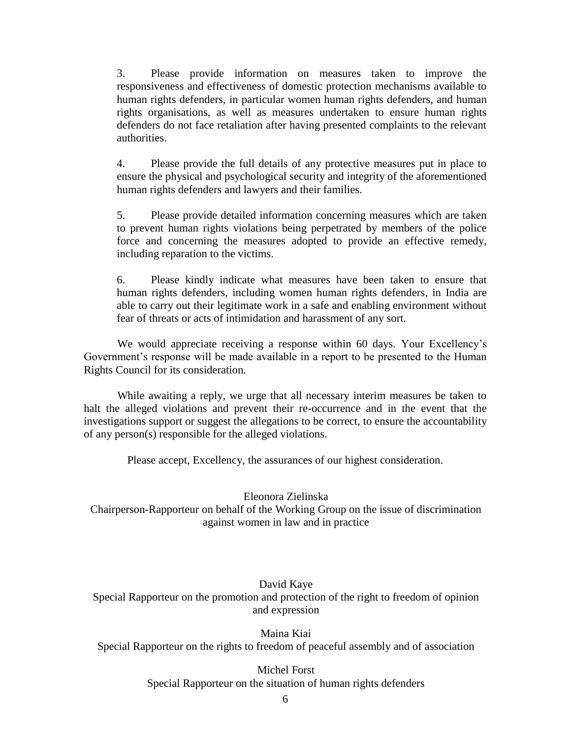3. Please provide information on measures taken to improve the responsiveness and effectiveness of domestic protection mechanisms available to human rights defenders, in particular women human rights defenders, and human rights organisations, as well as measures undertaken to ensure human rights defenders do not face retaliation after having presented complaints to the relevant authorities.

4. Please provide the full details of any protective measures put in place to ensure the physical and psychological security and integrity of the aforementioned human rights defenders and lawyers and their families.

5. Please provide detailed information concerning measures which are taken to prevent human rights violations being perpetrated by members of the police force and concerning the measures adopted to provide an effective remedy, including reparation to the victims.

6. Please kindly indicate what measures have been taken to ensure that human rights defenders, including women human rights defenders, in India are able to carry out their legitimate work in a safe and enabling environment without fear of threats or acts of intimidation and harassment of any sort.

We would appreciate receiving a response within 60 days. Your Excellency's Government's response will be made available in a report to be presented to the Human Rights Council for its consideration.

While awaiting a reply, we urge that all necessary interim measures be taken to halt the alleged violations and prevent their re-occurrence and in the event that the investigations support or suggest the allegations to be correct, to ensure the accountability of any person(s) responsible for the alleged violations.

Please accept, Excellency, the assurances of our highest consideration.

Eleonora Zielinska

Chairperson-Rapporteur on behalf of the Working Group on the issue of discrimination against women in law and in practice

# David Kaye

Special Rapporteur on the promotion and protection of the right to freedom of opinion and expression

Maina Kiai Special Rapporteur on the rights to freedom of peaceful assembly and of association

> Michel Forst Special Rapporteur on the situation of human rights defenders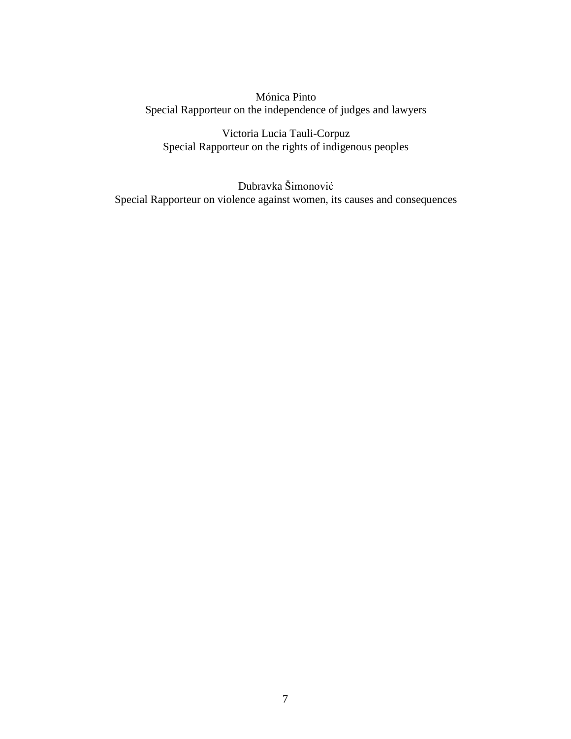Mónica Pinto Special Rapporteur on the independence of judges and lawyers

Victoria Lucia Tauli-Corpuz Special Rapporteur on the rights of indigenous peoples

Dubravka Šimonović Special Rapporteur on violence against women, its causes and consequences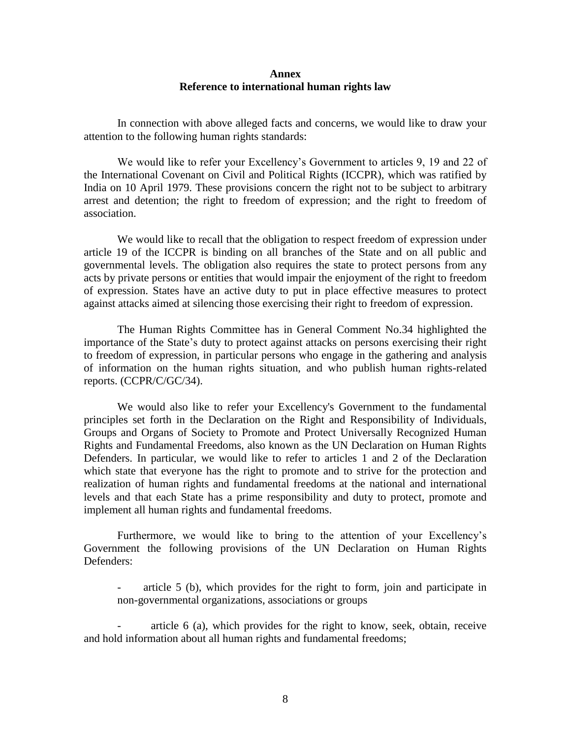#### **Annex Reference to international human rights law**

In connection with above alleged facts and concerns, we would like to draw your attention to the following human rights standards:

We would like to refer your Excellency's Government to articles 9, 19 and 22 of the International Covenant on Civil and Political Rights (ICCPR), which was ratified by India on 10 April 1979. These provisions concern the right not to be subject to arbitrary arrest and detention; the right to freedom of expression; and the right to freedom of association.

We would like to recall that the obligation to respect freedom of expression under article 19 of the ICCPR is binding on all branches of the State and on all public and governmental levels. The obligation also requires the state to protect persons from any acts by private persons or entities that would impair the enjoyment of the right to freedom of expression. States have an active duty to put in place effective measures to protect against attacks aimed at silencing those exercising their right to freedom of expression.

The Human Rights Committee has in General Comment No.34 highlighted the importance of the State's duty to protect against attacks on persons exercising their right to freedom of expression, in particular persons who engage in the gathering and analysis of information on the human rights situation, and who publish human rights-related reports. (CCPR/C/GC/34).

We would also like to refer your Excellency's Government to the fundamental principles set forth in the Declaration on the Right and Responsibility of Individuals, Groups and Organs of Society to Promote and Protect Universally Recognized Human Rights and Fundamental Freedoms, also known as the UN Declaration on Human Rights Defenders. In particular, we would like to refer to articles 1 and 2 of the Declaration which state that everyone has the right to promote and to strive for the protection and realization of human rights and fundamental freedoms at the national and international levels and that each State has a prime responsibility and duty to protect, promote and implement all human rights and fundamental freedoms.

Furthermore, we would like to bring to the attention of your Excellency's Government the following provisions of the UN Declaration on Human Rights Defenders:

article 5 (b), which provides for the right to form, join and participate in non-governmental organizations, associations or groups

- article 6 (a), which provides for the right to know, seek, obtain, receive and hold information about all human rights and fundamental freedoms;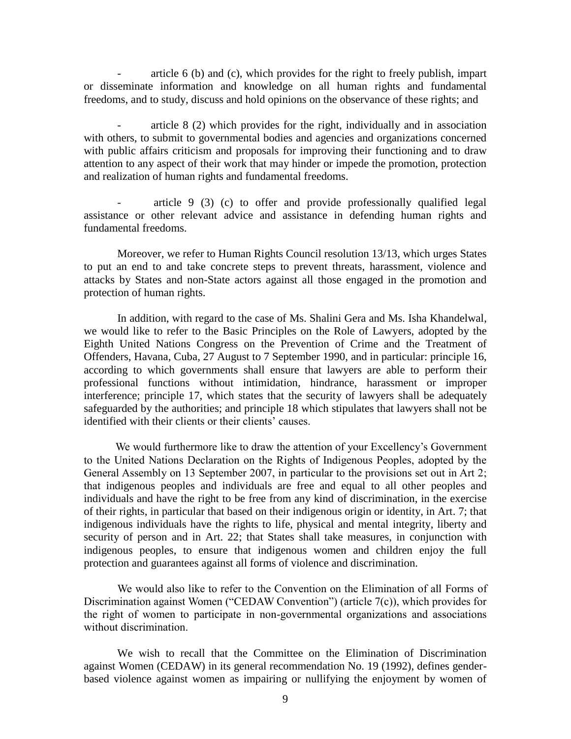article  $6$  (b) and (c), which provides for the right to freely publish, impart or disseminate information and knowledge on all human rights and fundamental freedoms, and to study, discuss and hold opinions on the observance of these rights; and

- article 8 (2) which provides for the right, individually and in association with others, to submit to governmental bodies and agencies and organizations concerned with public affairs criticism and proposals for improving their functioning and to draw attention to any aspect of their work that may hinder or impede the promotion, protection and realization of human rights and fundamental freedoms.

- article 9 (3) (c) to offer and provide professionally qualified legal assistance or other relevant advice and assistance in defending human rights and fundamental freedoms.

Moreover, we refer to Human Rights Council resolution 13/13, which urges States to put an end to and take concrete steps to prevent threats, harassment, violence and attacks by States and non-State actors against all those engaged in the promotion and protection of human rights.

In addition, with regard to the case of Ms. Shalini Gera and Ms. Isha Khandelwal, we would like to refer to the Basic Principles on the Role of Lawyers, adopted by the Eighth United Nations Congress on the Prevention of Crime and the Treatment of Offenders, Havana, Cuba, 27 August to 7 September 1990, and in particular: principle 16, according to which governments shall ensure that lawyers are able to perform their professional functions without intimidation, hindrance, harassment or improper interference; principle 17, which states that the security of lawyers shall be adequately safeguarded by the authorities; and principle 18 which stipulates that lawyers shall not be identified with their clients or their clients' causes.

We would furthermore like to draw the attention of your Excellency's Government to the United Nations Declaration on the Rights of Indigenous Peoples, adopted by the General Assembly on 13 September 2007, in particular to the provisions set out in Art 2; that indigenous peoples and individuals are free and equal to all other peoples and individuals and have the right to be free from any kind of discrimination, in the exercise of their rights, in particular that based on their indigenous origin or identity, in Art. 7; that indigenous individuals have the rights to life, physical and mental integrity, liberty and security of person and in Art. 22; that States shall take measures, in conjunction with indigenous peoples, to ensure that indigenous women and children enjoy the full protection and guarantees against all forms of violence and discrimination.

We would also like to refer to the Convention on the Elimination of all Forms of Discrimination against Women ("CEDAW Convention") (article 7(c)), which provides for the right of women to participate in non-governmental organizations and associations without discrimination.

We wish to recall that the Committee on the Elimination of Discrimination against Women (CEDAW) in its general recommendation No. 19 (1992), defines genderbased violence against women as impairing or nullifying the enjoyment by women of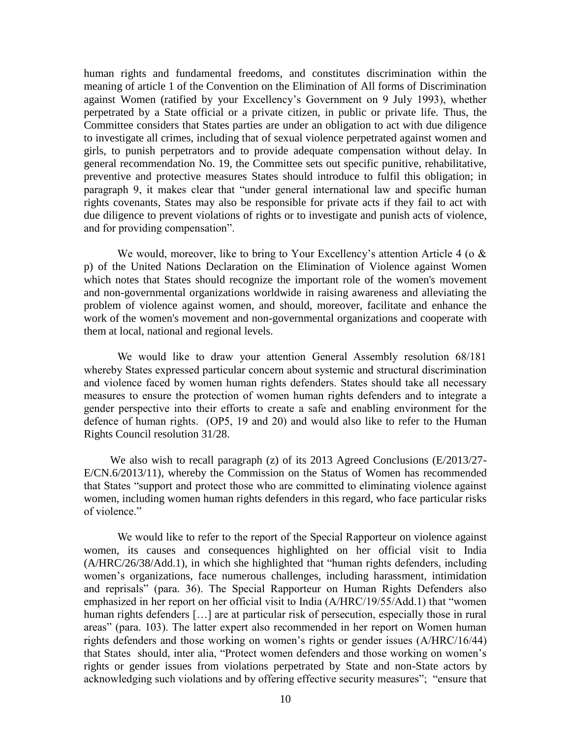human rights and fundamental freedoms, and constitutes discrimination within the meaning of article 1 of the Convention on the Elimination of All forms of Discrimination against Women (ratified by your Excellency's Government on 9 July 1993), whether perpetrated by a State official or a private citizen, in public or private life. Thus, the Committee considers that States parties are under an obligation to act with due diligence to investigate all crimes, including that of sexual violence perpetrated against women and girls, to punish perpetrators and to provide adequate compensation without delay. In general recommendation No. 19, the Committee sets out specific punitive, rehabilitative, preventive and protective measures States should introduce to fulfil this obligation; in paragraph 9, it makes clear that "under general international law and specific human rights covenants, States may also be responsible for private acts if they fail to act with due diligence to prevent violations of rights or to investigate and punish acts of violence, and for providing compensation".

We would, moreover, like to bring to Your Excellency's attention Article 4 (o  $\&$ p) of the United Nations Declaration on the Elimination of Violence against Women which notes that States should recognize the important role of the women's movement and non-governmental organizations worldwide in raising awareness and alleviating the problem of violence against women, and should, moreover, facilitate and enhance the work of the women's movement and non-governmental organizations and cooperate with them at local, national and regional levels.

We would like to draw your attention General Assembly resolution 68/181 whereby States expressed particular concern about systemic and structural discrimination and violence faced by women human rights defenders. States should take all necessary measures to ensure the protection of women human rights defenders and to integrate a gender perspective into their efforts to create a safe and enabling environment for the defence of human rights. (OP5, 19 and 20) and would also like to refer to the Human Rights Council resolution 31/28.

We also wish to recall paragraph (z) of its 2013 Agreed Conclusions (E/2013/27-E/CN.6/2013/11), whereby the Commission on the Status of Women has recommended that States "support and protect those who are committed to eliminating violence against women, including women human rights defenders in this regard, who face particular risks of violence."

We would like to refer to the report of the Special Rapporteur on violence against women, its causes and consequences highlighted on her official visit to India (A/HRC/26/38/Add.1), in which she highlighted that "human rights defenders, including women's organizations, face numerous challenges, including harassment, intimidation and reprisals" (para. 36). The Special Rapporteur on Human Rights Defenders also emphasized in her report on her official visit to India (A/HRC/19/55/Add.1) that "women human rights defenders [...] are at particular risk of persecution, especially those in rural areas" (para. 103). The latter expert also recommended in her report on Women human rights defenders and those working on women's rights or gender issues (A/HRC/16/44) that States should, inter alia, "Protect women defenders and those working on women's rights or gender issues from violations perpetrated by State and non-State actors by acknowledging such violations and by offering effective security measures"; "ensure that